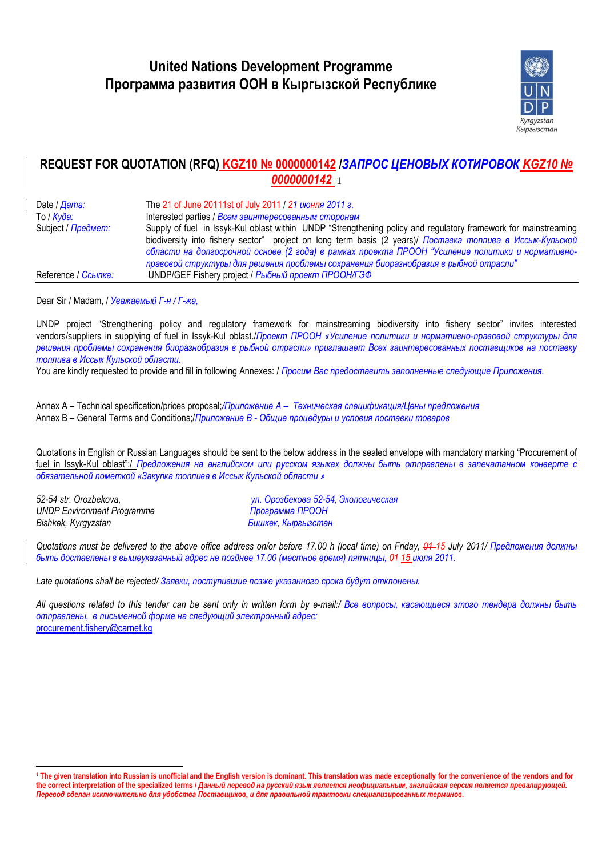

# **REQUEST FOR QUOTATION (RFQ) KGZ10 № 0000000142 /***ЗАПРОС ЦЕНОВЫХ КОТИРОВОК KGZ10 №*  **0000000142 -1**

Date / *Дата:* The 21 of June 20111st of July 2011 / *21 июнля 2011 г.* To / *Куда:* Interested parties / *Всем заинтересованным сторонам* Subject / *Предмет:* Supply of fuel in Issyk-Kul oblast within UNDP "Strengthening policy and regulatory framework for mainstreaming biodiversity into fishery sector" project on long term basis (2 years)/ *Поставка топлива в Иссык-Кульской области на долгосрочной основе (2 года) в рамках проекта ПРООН "Усиление политики и нормативноправовой структуры для решения проблемы сохранения биоразнобразия в рыбной отрасли"*  Reference / *Ссылка:* UNDP/GEF Fishery project / *Рыбный проект ПРООН/ГЭФ*

Dear Sir / Madam, / *Уважаемый Г-н / Г-жа,*

UNDP project "Strengthening policy and regulatory framework for mainstreaming biodiversity into fishery sector" invites interested vendors/suppliers in supplying of fuel in Issyk-Kul oblast./*Проект ПРООН «Усиление политики и нормативно-правовой структуры для решения проблемы сохранения биоразнобразия в рыбной отрасли» приглашает Всех заинтересованных поставщиков на поставку топлива в Иссык Кульской области.*

You are kindly requested to provide and fill in following Annexes: / *Просим Вас предоставить заполненные следующие Приложения.* 

Annex A – Technical specification/prices proposal;*/Приложение А – Техническая спецификация/Цены предложения* Annex B – General Terms and Conditions;/*Приложение В - Общие процедуры и условия поставки товаров*

Quotations in English or Russian Languages should be sent to the below address in the sealed envelope with mandatory marking "Procurement of fuel in Issyk-Kul oblast":/ *Предложения на английском или русском языках должны быть отправлены в запечатанном конверте с обязательной пометкой «Закупка топлива в Иссык Кульской области »*

*UNDP Environment Programme Программа ПРООН Bishkek, Kyrgyzstan Бишкек, Кыргызстан*

 $\overline{a}$ 

*52-54 str. Orozbekova, ул. Орозбекова 52-54, Экологическая* 

*Quotations must be delivered to the above office address on/or before 17.00 h (local time) on Friday, 01 15 July 2011/ Предложения должны быть доставлены в вышеуказанный адрес не позднее 17.00 (местное время) пятницы, 01 15 июля 2011.*

*Late quotations shall be rejected/ Заявки, поступившие позже указанного срока будут отклонены.*

All questions related to this tender can be sent only in written form by e-mail:/ Все вопросы, касающиеся этого тендера должны быть *отправлены, в письменной форме на следующий электронный адрес:* [procurement.fishery@carnet.kg](mailto:procurement.fishery@carnet.kg)

**<sup>1</sup> The given translation into Russian is unofficial and the English version is dominant. This translation was made exceptionally for the convenience of the vendors and for**  the correct interpretation of the specialized terms / Данный перевод на русский язык является неофициальным, английская версия является превалирующей. *Перевод сделан исключительно для удобства Поставщиков, и для правильной трактовки специализированных терминов.*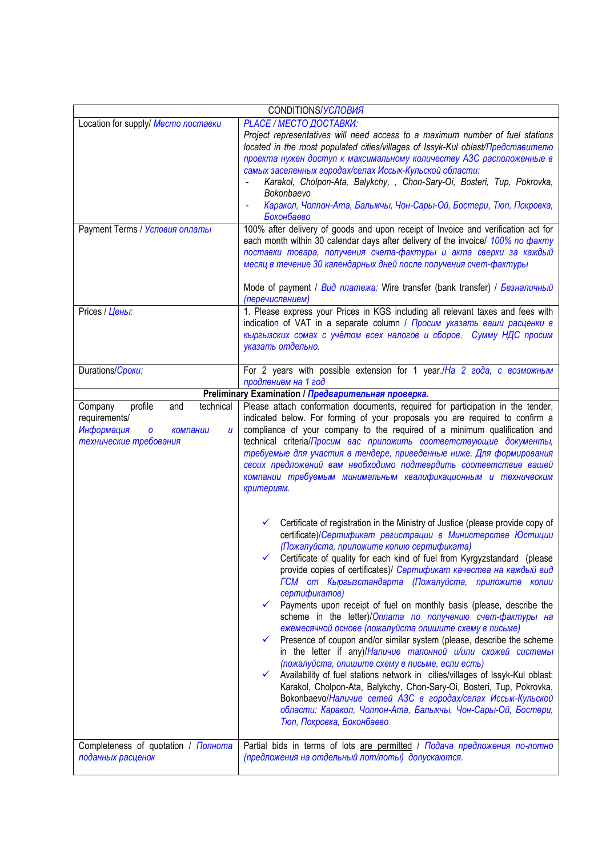| CONDITIONS/УСЛОВИЯ                                                                                                    |                                                                                                                                                                                                                                                                                                                                                                                                                                                                                                                                                                                                                                                                                                                                                                                                                                                                                                                                                                                                                                                                                                                                                                      |  |  |  |  |  |  |  |  |
|-----------------------------------------------------------------------------------------------------------------------|----------------------------------------------------------------------------------------------------------------------------------------------------------------------------------------------------------------------------------------------------------------------------------------------------------------------------------------------------------------------------------------------------------------------------------------------------------------------------------------------------------------------------------------------------------------------------------------------------------------------------------------------------------------------------------------------------------------------------------------------------------------------------------------------------------------------------------------------------------------------------------------------------------------------------------------------------------------------------------------------------------------------------------------------------------------------------------------------------------------------------------------------------------------------|--|--|--|--|--|--|--|--|
| Location for supply/ Mecmo поставки<br>Payment Terms / Условия оплаты<br>Prices / Цены:                               | <b>PLACE / МЕСТО ДОСТАВКИ:</b><br>Project representatives will need access to a maximum number of fuel stations<br>located in the most populated cities/villages of Issyk-Kul oblast/Представителю<br>проекта нужен доступ к максимальному количеству АЗС расположенные в<br>самых заселенных городах/селах Иссык-Кульской области:<br>Karakol, Cholpon-Ata, Balykchy, , Chon-Sary-Oi, Bosteri, Tup, Pokrovka,<br>Bokonbaevo<br>Каракол, Чолпон-Ата, Балыкчы, Чон-Сары-Ой, Бостери, Тюп, Покровка,<br>Боконбаево<br>100% after delivery of goods and upon receipt of Invoice and verification act for<br>each month within 30 calendar days after delivery of the invoice/ 100% no факту<br>поставки товара, получения счета-фактуры и акта сверки за каждый<br>месяц в течение 30 календарных дней после получения счет-фактуры<br>Mode of payment / Вид платежа: Wire transfer (bank transfer) / Безналичный<br>(перечислением)<br>1. Please express your Prices in KGS including all relevant taxes and fees with<br>indication of VAT in a separate column / Просим указать ваши расценки в<br>кыргызских сомах с учётом всех налогов и сборов. Сумму НДС просим |  |  |  |  |  |  |  |  |
|                                                                                                                       | указать отдельно.                                                                                                                                                                                                                                                                                                                                                                                                                                                                                                                                                                                                                                                                                                                                                                                                                                                                                                                                                                                                                                                                                                                                                    |  |  |  |  |  |  |  |  |
| Durations/Cpoku:                                                                                                      | For 2 years with possible extension for 1 year./На 2 года, с возможным<br>продлением на 1 год                                                                                                                                                                                                                                                                                                                                                                                                                                                                                                                                                                                                                                                                                                                                                                                                                                                                                                                                                                                                                                                                        |  |  |  |  |  |  |  |  |
|                                                                                                                       | Preliminary Examination / Предварительная проверка.                                                                                                                                                                                                                                                                                                                                                                                                                                                                                                                                                                                                                                                                                                                                                                                                                                                                                                                                                                                                                                                                                                                  |  |  |  |  |  |  |  |  |
| Company<br>profile<br>and<br>technical<br>requirements/<br>Информация<br>компании<br>u<br>0<br>технические требования | Please attach conformation documents, required for participation in the tender,<br>indicated below. For forming of your proposals you are required to confirm a<br>compliance of your company to the required of a minimum qualification and<br>technical criteria/Просим вас приложить соответствующие документы,<br>требуемые для участия в тендере, приведенные ниже. Для формирования<br>своих предложений вам необходимо подтвердить соответствие вашей<br>компании требуемым минимальным квалификационным и техническим<br>критериям.<br>Certificate of registration in the Ministry of Justice (please provide copy of<br>✓<br>certificate)/Сертификат регистрации в Министерстве Юстиции<br>(Пожалуйста, приложите копию сертификата)<br>Certificate of quality for each kind of fuel from Kyrgyzstandard (please<br>$\checkmark$<br>provide copies of certificates)/ Сертификат качества на каждый вид<br>ГСМ от Кыргызстандарта (Пожалуйста, приложите копии<br>сертификатов)<br>Payments upon receipt of fuel on monthly basis (please, describe the<br>$\checkmark$<br>scheme in the letter)/Оплата по получению счет-фактуры на                         |  |  |  |  |  |  |  |  |
| Completeness of quotation / Полнота                                                                                   | ежемесячной основе (пожалуйста опишите схему в письме)<br>Presence of coupon and/or similar system (please, describe the scheme<br>✓<br>in the letter if any)/Наличие талонной и/или схожей системы<br>(пожалуйста, опишите схему в письме, если есть)<br>Availability of fuel stations network in cities/villages of Issyk-Kul oblast:<br>Karakol, Cholpon-Ata, Balykchy, Chon-Sary-Oi, Bosteri, Tup, Pokrovka,<br>Вокопраеvо/Наличие сетей АЗС в городах/селах Иссык-Кульской<br>области: Каракол, Чолпон-Ата, Балыкчы, Чон-Сары-Ой, Бостери,<br>Тюп, Покровка, Боконбаево<br>Partial bids in terms of lots are permitted / Подача предложения по-лотно                                                                                                                                                                                                                                                                                                                                                                                                                                                                                                            |  |  |  |  |  |  |  |  |
| поданных расценок                                                                                                     | (предложения на отдельный лот/лоты) допускаются.                                                                                                                                                                                                                                                                                                                                                                                                                                                                                                                                                                                                                                                                                                                                                                                                                                                                                                                                                                                                                                                                                                                     |  |  |  |  |  |  |  |  |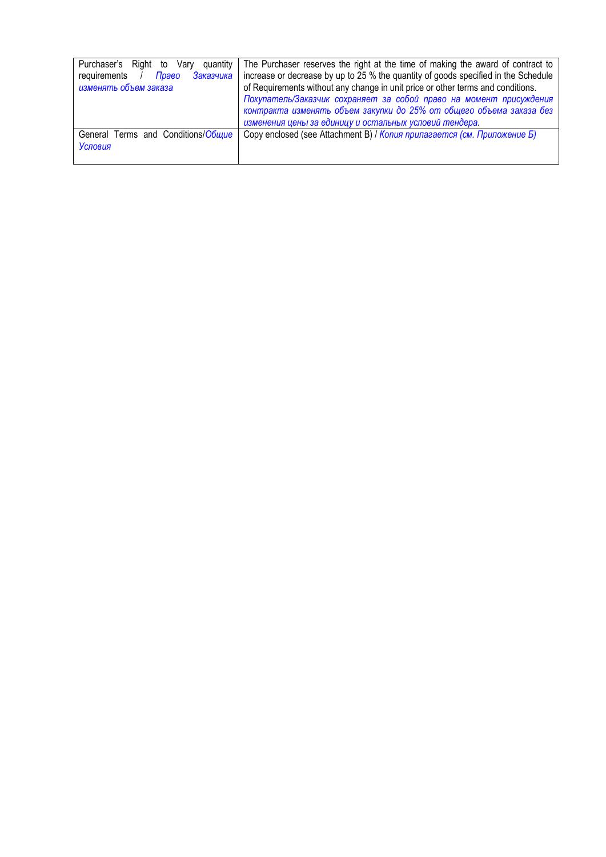| Purchaser's Right to<br>quantity<br>Varv<br>Заказчика<br>requirements<br>Право<br>изменять объем заказа | The Purchaser reserves the right at the time of making the award of contract to<br>increase or decrease by up to 25 % the quantity of goods specified in the Schedule<br>of Requirements without any change in unit price or other terms and conditions.<br>Покупатель/Заказчик сохраняет за собой право на момент присуждения<br>контракта изменять объем закупки до 25% от общего объема заказа без<br>изменения цены за единицу и остальных условий тендера. |
|---------------------------------------------------------------------------------------------------------|-----------------------------------------------------------------------------------------------------------------------------------------------------------------------------------------------------------------------------------------------------------------------------------------------------------------------------------------------------------------------------------------------------------------------------------------------------------------|
| General Terms and Conditions/Obuyue<br><b>Условия</b>                                                   | Copy enclosed (see Attachment B) / Копия прилагается (см. Приложение Б)                                                                                                                                                                                                                                                                                                                                                                                         |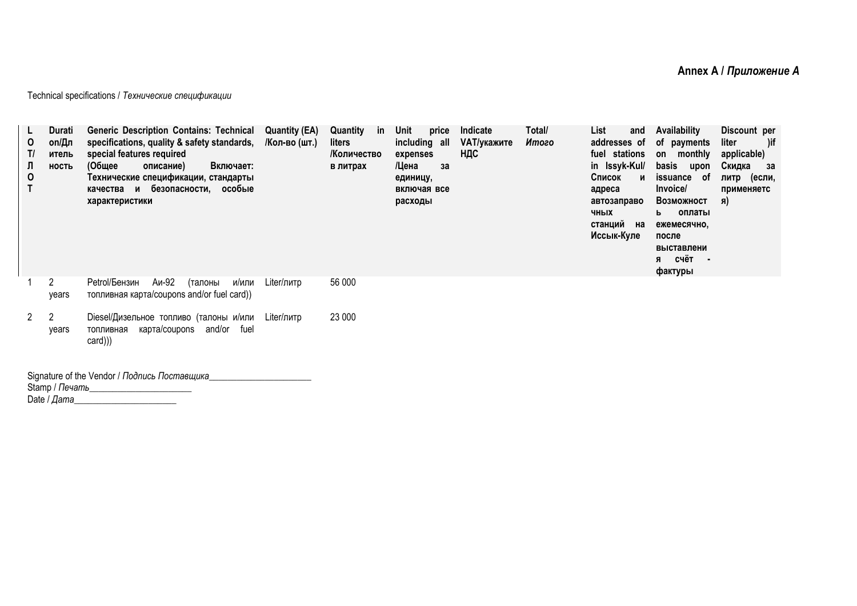Technical specifications / *Технические спецификации*

| 0<br>T/<br>Л<br>0 | Durati<br>on/Дл<br>итель<br><b>НОСТЬ</b> | <b>Generic Description Contains: Technical</b><br>specifications, quality & safety standards,<br>special features required<br>(Общее<br>описание)<br>Включает:<br>Технические спецификации, стандарты<br>качества и безопасности, особые<br>характеристики | <b>Quantity (EA)</b><br>/Кол-во (шт.) | Quantity<br>in<br>liters<br>/Количество<br>в литрах | Unit<br>price<br>including all<br>expenses<br>/Цена<br>за<br>единицу,<br>включая все<br>расходы | Indicate<br>VAT/укажите<br>НДС | Total/<br>Итого | List<br>and<br>addresses of<br>fuel stations<br>in Issyk-Kul/<br>Список<br>и<br>адреса<br>автозаправо<br>ЧНЫХ<br>станций на<br>Иссык-Куле | Availability<br>of payments<br>on monthly<br>basis<br>upon<br>issuance<br>. of<br>Invoice/<br>Возможност<br>оплаты<br>ь<br>ежемесячно,<br>после<br>выставлени<br>я счёт<br>$\blacksquare$<br>фактуры | Discount per<br>)if<br>liter<br>applicable)<br>Скидка<br>3a<br>литр (если,<br>применяетс<br>Я) |
|-------------------|------------------------------------------|------------------------------------------------------------------------------------------------------------------------------------------------------------------------------------------------------------------------------------------------------------|---------------------------------------|-----------------------------------------------------|-------------------------------------------------------------------------------------------------|--------------------------------|-----------------|-------------------------------------------------------------------------------------------------------------------------------------------|------------------------------------------------------------------------------------------------------------------------------------------------------------------------------------------------------|------------------------------------------------------------------------------------------------|
|                   | 2<br>vears                               | Аи-92<br>Petrol/Бензин<br>(талоны<br>и/или<br>топливная карта/coupons and/or fuel card))                                                                                                                                                                   | Liter/литр                            | 56 000                                              |                                                                                                 |                                |                 |                                                                                                                                           |                                                                                                                                                                                                      |                                                                                                |
| 2                 | years                                    | Diesel/Дизельное топливо (талоны и/или<br>карта/coupons and/or fuel<br>топливная<br>card)))                                                                                                                                                                | Liter/литр                            | 23 000                                              |                                                                                                 |                                |                 |                                                                                                                                           |                                                                                                                                                                                                      |                                                                                                |

Signature of the Vendor / *Подпись Поставщика*\_\_\_\_\_\_\_\_\_\_\_\_\_\_\_\_\_\_\_\_\_\_ Stamp / *Печать*\_\_\_\_\_\_\_\_\_\_\_\_\_\_\_\_\_\_\_\_\_\_ Date / *Дата*\_\_\_\_\_\_\_\_\_\_\_\_\_\_\_\_\_\_\_\_\_\_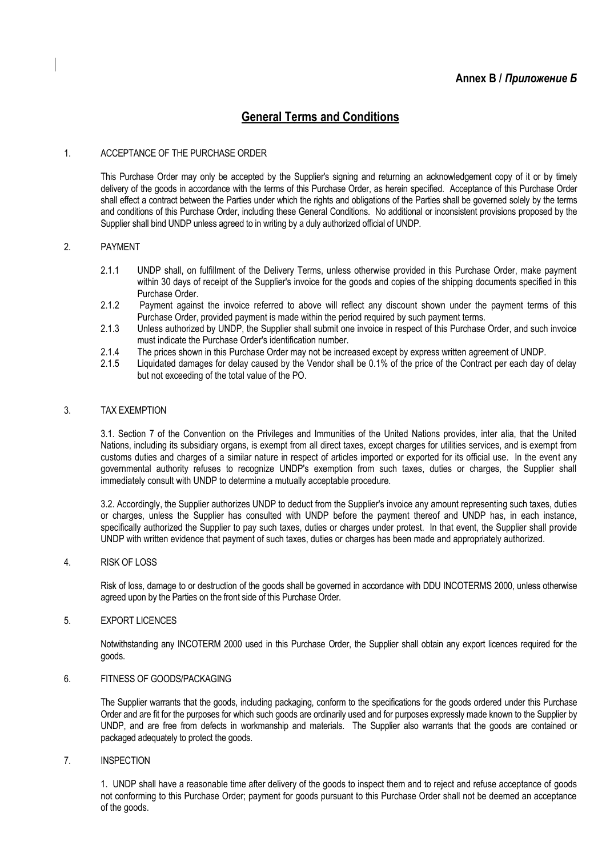# **General Terms and Conditions**

# 1. ACCEPTANCE OF THE PURCHASE ORDER

This Purchase Order may only be accepted by the Supplier's signing and returning an acknowledgement copy of it or by timely delivery of the goods in accordance with the terms of this Purchase Order, as herein specified. Acceptance of this Purchase Order shall effect a contract between the Parties under which the rights and obligations of the Parties shall be governed solely by the terms and conditions of this Purchase Order, including these General Conditions. No additional or inconsistent provisions proposed by the Supplier shall bind UNDP unless agreed to in writing by a duly authorized official of UNDP.

# 2. PAYMENT

- 2.1.1 UNDP shall, on fulfillment of the Delivery Terms, unless otherwise provided in this Purchase Order, make payment within 30 days of receipt of the Supplier's invoice for the goods and copies of the shipping documents specified in this Purchase Order.
- 2.1.2 Payment against the invoice referred to above will reflect any discount shown under the payment terms of this Purchase Order, provided payment is made within the period required by such payment terms.
- 2.1.3 Unless authorized by UNDP, the Supplier shall submit one invoice in respect of this Purchase Order, and such invoice must indicate the Purchase Order's identification number.
- 2.1.4 The prices shown in this Purchase Order may not be increased except by express written agreement of UNDP.<br>2.1.5 Liguidated damages for delay caused by the Vendor shall be 0.1% of the price of the Contract per each da
- Liquidated damages for delay caused by the Vendor shall be 0.1% of the price of the Contract per each day of delay but not exceeding of the total value of the PO.

# 3. TAX EXEMPTION

3.1. Section 7 of the Convention on the Privileges and Immunities of the United Nations provides, inter alia, that the United Nations, including its subsidiary organs, is exempt from all direct taxes, except charges for utilities services, and is exempt from customs duties and charges of a similar nature in respect of articles imported or exported for its official use. In the event any governmental authority refuses to recognize UNDP's exemption from such taxes, duties or charges, the Supplier shall immediately consult with UNDP to determine a mutually acceptable procedure.

3.2. Accordingly, the Supplier authorizes UNDP to deduct from the Supplier's invoice any amount representing such taxes, duties or charges, unless the Supplier has consulted with UNDP before the payment thereof and UNDP has, in each instance, specifically authorized the Supplier to pay such taxes, duties or charges under protest. In that event, the Supplier shall provide UNDP with written evidence that payment of such taxes, duties or charges has been made and appropriately authorized.

# 4. RISK OF LOSS

Risk of loss, damage to or destruction of the goods shall be governed in accordance with DDU INCOTERMS 2000, unless otherwise agreed upon by the Parties on the front side of this Purchase Order.

# 5. EXPORT LICENCES

Notwithstanding any INCOTERM 2000 used in this Purchase Order, the Supplier shall obtain any export licences required for the goods.

# 6. FITNESS OF GOODS/PACKAGING

The Supplier warrants that the goods, including packaging, conform to the specifications for the goods ordered under this Purchase Order and are fit for the purposes for which such goods are ordinarily used and for purposes expressly made known to the Supplier by UNDP, and are free from defects in workmanship and materials. The Supplier also warrants that the goods are contained or packaged adequately to protect the goods.

# 7. INSPECTION

1. UNDP shall have a reasonable time after delivery of the goods to inspect them and to reject and refuse acceptance of goods not conforming to this Purchase Order; payment for goods pursuant to this Purchase Order shall not be deemed an acceptance of the goods.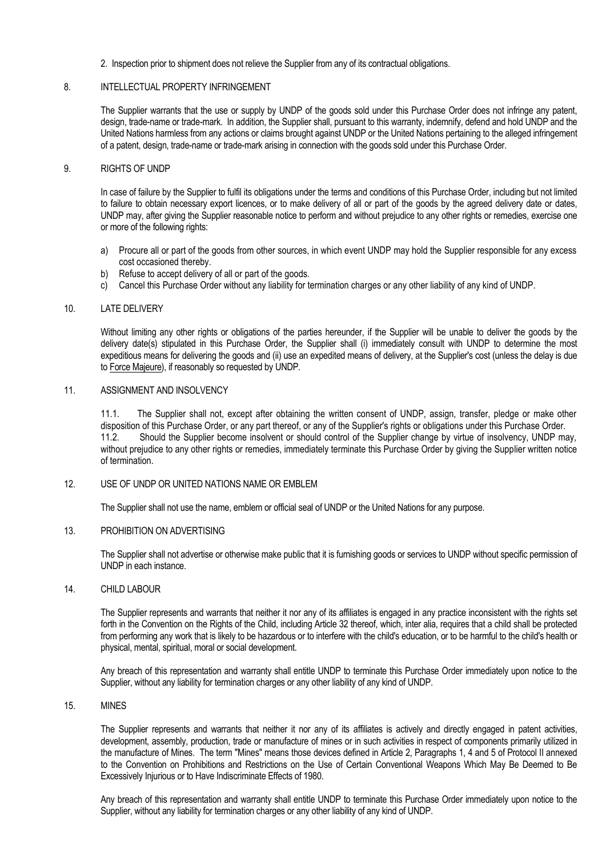2. Inspection prior to shipment does not relieve the Supplier from any of its contractual obligations.

# 8 INTELLECTUAL PROPERTY INFRINGEMENT

The Supplier warrants that the use or supply by UNDP of the goods sold under this Purchase Order does not infringe any patent, design, trade-name or trade-mark. In addition, the Supplier shall, pursuant to this warranty, indemnify, defend and hold UNDP and the United Nations harmless from any actions or claims brought against UNDP or the United Nations pertaining to the alleged infringement of a patent, design, trade-name or trade-mark arising in connection with the goods sold under this Purchase Order.

## 9. RIGHTS OF UNDP

In case of failure by the Supplier to fulfil its obligations under the terms and conditions of this Purchase Order, including but not limited to failure to obtain necessary export licences, or to make delivery of all or part of the goods by the agreed delivery date or dates, UNDP may, after giving the Supplier reasonable notice to perform and without prejudice to any other rights or remedies, exercise one or more of the following rights:

- a) Procure all or part of the goods from other sources, in which event UNDP may hold the Supplier responsible for any excess cost occasioned thereby.
- b) Refuse to accept delivery of all or part of the goods.
- c) Cancel this Purchase Order without any liability for termination charges or any other liability of any kind of UNDP.

#### 10. LATE DELIVERY

Without limiting any other rights or obligations of the parties hereunder, if the Supplier will be unable to deliver the goods by the delivery date(s) stipulated in this Purchase Order, the Supplier shall (i) immediately consult with UNDP to determine the most expeditious means for delivering the goods and (ii) use an expedited means of delivery, at the Supplier's cost (unless the delay is due to Force Majeure), if reasonably so requested by UNDP.

## 11. ASSIGNMENT AND INSOLVENCY

11.1. The Supplier shall not, except after obtaining the written consent of UNDP, assign, transfer, pledge or make other disposition of this Purchase Order, or any part thereof, or any of the Supplier's rights or obligations under this Purchase Order. 11.2. Should the Supplier become insolvent or should control of the Supplier change by virtue of insolvency, UNDP may, without prejudice to any other rights or remedies, immediately terminate this Purchase Order by giving the Supplier written notice of termination.

## 12. USE OF UNDP OR UNITED NATIONS NAME OR EMBLEM

The Supplier shall not use the name, emblem or official seal of UNDP or the United Nations for any purpose.

# 13. PROHIBITION ON ADVERTISING

The Supplier shall not advertise or otherwise make public that it is furnishing goods or services to UNDP without specific permission of UNDP in each instance.

# 14. CHILD LABOUR

The Supplier represents and warrants that neither it nor any of its affiliates is engaged in any practice inconsistent with the rights set forth in the Convention on the Rights of the Child, including Article 32 thereof, which, inter alia, requires that a child shall be protected from performing any work that is likely to be hazardous or to interfere with the child's education, or to be harmful to the child's health or physical, mental, spiritual, moral or social development.

Any breach of this representation and warranty shall entitle UNDP to terminate this Purchase Order immediately upon notice to the Supplier, without any liability for termination charges or any other liability of any kind of UNDP.

## 15. MINES

The Supplier represents and warrants that neither it nor any of its affiliates is actively and directly engaged in patent activities, development, assembly, production, trade or manufacture of mines or in such activities in respect of components primarily utilized in the manufacture of Mines. The term "Mines" means those devices defined in Article 2, Paragraphs 1, 4 and 5 of Protocol II annexed to the Convention on Prohibitions and Restrictions on the Use of Certain Conventional Weapons Which May Be Deemed to Be Excessively Injurious or to Have Indiscriminate Effects of 1980.

Any breach of this representation and warranty shall entitle UNDP to terminate this Purchase Order immediately upon notice to the Supplier, without any liability for termination charges or any other liability of any kind of UNDP.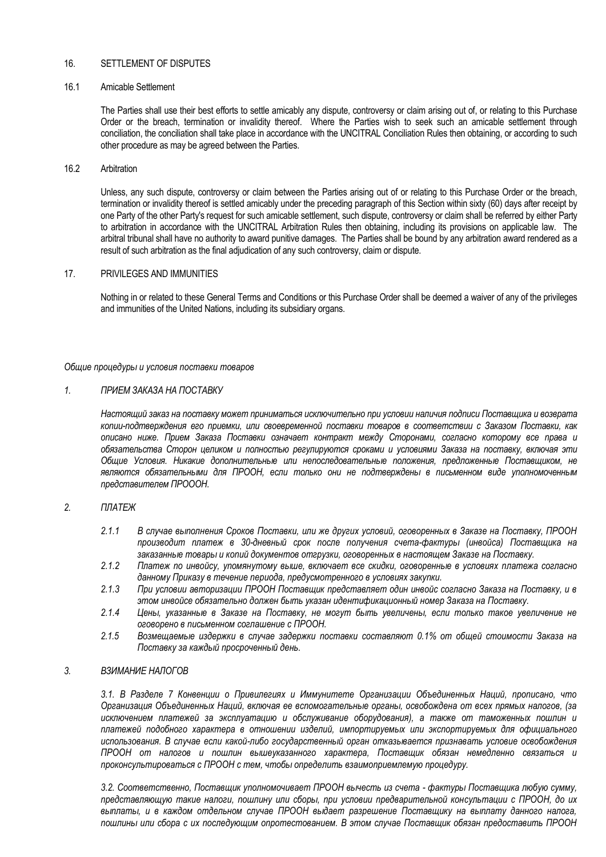# 16. SETTLEMENT OF DISPUTES

# 16.1 Amicable Settlement

The Parties shall use their best efforts to settle amicably any dispute, controversy or claim arising out of, or relating to this Purchase Order or the breach, termination or invalidity thereof. Where the Parties wish to seek such an amicable settlement through conciliation, the conciliation shall take place in accordance with the UNCITRAL Conciliation Rules then obtaining, or according to such other procedure as may be agreed between the Parties.

#### 16.2 Arbitration

Unless, any such dispute, controversy or claim between the Parties arising out of or relating to this Purchase Order or the breach, termination or invalidity thereof is settled amicably under the preceding paragraph of this Section within sixty (60) days after receipt by one Party of the other Party's request for such amicable settlement, such dispute, controversy or claim shall be referred by either Party to arbitration in accordance with the UNCITRAL Arbitration Rules then obtaining, including its provisions on applicable law. The arbitral tribunal shall have no authority to award punitive damages. The Parties shall be bound by any arbitration award rendered as a result of such arbitration as the final adjudication of any such controversy, claim or dispute.

# 17. PRIVILEGES AND IMMUNITIES

Nothing in or related to these General Terms and Conditions or this Purchase Order shall be deemed a waiver of any of the privileges and immunities of the United Nations, including its subsidiary organs.

*Общие процедуры и условия поставки товаров*

#### *1. ПРИЕМ ЗАКАЗА НА ПОСТАВКУ*

*Настоящий заказ на поставку может приниматься исключительно при условии наличия подписи Поставщика и возврата копии-подтверждения его приемки, или своевременной поставки товаров в соответствии с Заказом Поставки, как описано ниже. Прием Заказа Поставки означает контракт между Сторонами, согласно которому все права и обязательства Сторон целиком и полностью регулируются сроками и условиями Заказа на поставку, включая эти Общие Условия. Никакие дополнительные или непоследовательные положения, предложенные Поставщиком, не являются обязательными для ПРООН, если только они не подтверждены в письменном виде уполномоченным представителем ПРОООН.* 

# *2. ПЛАТЕЖ*

- *2.1.1 В случае выполнения Сроков Поставки, или же других условий, оговоренных в Заказе на Поставку, ПРООН производит платеж в 30-дневный срок после получения счета-фактуры (инвойса) Поставщика на заказанные товары и копий документов отгрузки, оговоренных в настоящем Заказе на Поставку.*
- *2.1.2 Платеж по инвойсу, упомянутому выше, включает все скидки, оговоренные в условиях платежа согласно данному Приказу в течение периода, предусмотренного в условиях закупки.*
- *2.1.3 При условии авторизации ПРООН Поставщик представляет один инвойс согласно Заказа на Поставку, и в этом инвойсе обязательно должен быть указан идентификационный номер Заказа на Поставку.*
- *2.1.4 Цены, указанные в Заказе на Поставку, не могут быть увеличены, если только такое увеличение не оговорено в письменном соглашение с ПРООН.*
- *2.1.5 Возмещаемые издержки в случае задержки поставки составляют 0.1% от общей стоимости Заказа на Поставку за каждый просроченный день.*

# *3. ВЗИМАНИЕ НАЛОГОВ*

*3.1. В Разделе 7 Конвенции о Привилегиях и Иммунитете Организации Объединенных Наций, прописано, что Организация Объединенных Наций, включая ее вспомогательные органы, освобождена от всех прямых налогов, (за исключением платежей за эксплуатацию и обслуживание оборудования), а также от таможенных пошлин и платежей подобного характера в отношении изделий, импортируемых или экспортируемых для официального использования. В случае если какой-либо государственный орган отказывается признавать условие освобождения ПРООН от налогов и пошлин вышеуказанного характера, Поставщик обязан немедленно связаться и проконсультироваться с ПРООН с тем, чтобы определить взаимоприемлемую процедуру.*

*3.2. Соответственно, Поставщик уполномочивает ПРООН вычесть из счета - фактуры Поставщика любую сумму, представляющую такие налоги, пошлину или сборы, при условии предварительной консультации с ПРООН, до их выплаты, и в каждом отдельном случае ПРООН выдает разрешение Поставщику на выплату данного налога, пошлины или сбора с их последующим опротестованием. В этом случае Поставщик обязан предоставить ПРООН*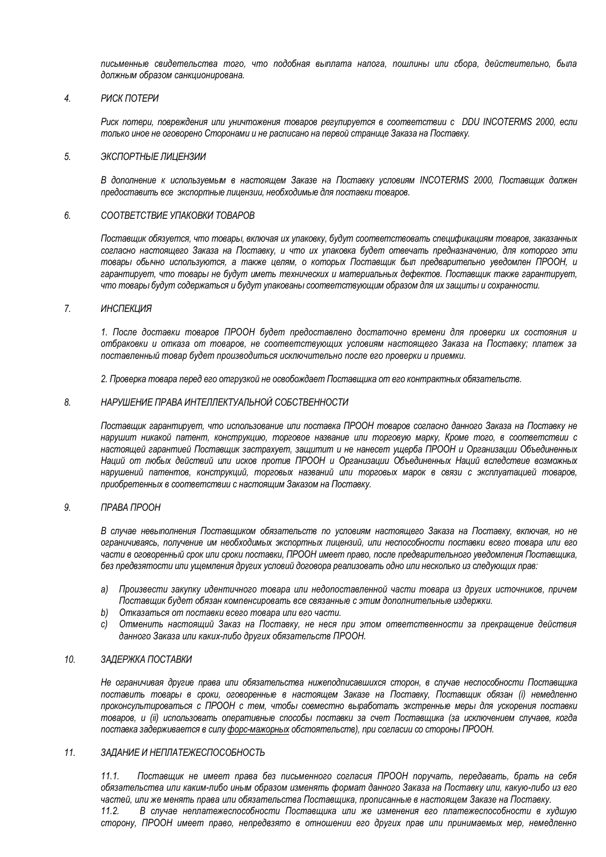*письменные свидетельства того, что подобная выплата налога, пошлины или сбора, действительно, была должным образом санкционирована.*

# *4. РИСК ПОТЕРИ*

*Риск потери, повреждения или уничтожения товаров регулируется в соответствии с DDU INCOTERMS 2000, если только иное не оговорено Сторонами и не расписано на первой странице Заказа на Поставку.* 

#### *5. ЭКСПОРТНЫЕ ЛИЦЕНЗИИ*

*В дополнение к используемым в настоящем Заказе на Поставку условиям INCOTERMS 2000, Поставщик должен предоставить все экспортные лицензии, необходимые для поставки товаров.*

#### *6. СООТВЕТСТВИЕ УПАКОВКИ ТОВАРОВ*

*Поставщик обязуется, что товары, включая их упаковку, будут соответствовать спецификациям товаров, заказанных согласно настоящего Заказа на Поставку, и что их упаковка будет отвечать предназначению, для которого эти товары обычно используются, а также целям, о которых Поставщик был предварительно уведомлен ПРООН, и гарантирует, что товары не будут иметь технических и материальных дефектов. Поставщик также гарантирует, что товары будут содержаться и будут упакованы соответствующим образом для их защиты и сохранности.*

# *7. ИНСПЕКЦИЯ*

*1. После доставки товаров ПРООН будет предоставлено достаточно времени для проверки их состояния и отбраковки и отказа от товаров, не соответствующих условиям настоящего Заказа на Поставку; платеж за поставленный товар будет производиться исключительно после его проверки и приемки.*

*2. Проверка товара перед его отгрузкой не освобождает Поставщика от его контрактных обязательств.*

#### *8. НАРУШЕНИЕ ПРАВА ИНТЕЛЛЕКТУАЛЬНОЙ СОБСТВЕННОСТИ*

*Поставщик гарантирует, что использование или поставка ПРООН товаров согласно данного Заказа на Поставку не нарушит никакой патент, конструкцию, торговое название или торговую марку, Кроме того, в соответствии с настоящей гарантией Поставщик застрахует, защитит и не нанесет ущерба ПРООН и Организации Объединенных Наций от любых действий или исков против ПРООН и Организации Объединенных Наций вследствие возможных нарушений патентов, конструкций, торговых названий или торговых марок в связи с эксплуатацией товаров, приобретенных в соответствии с настоящим Заказом на Поставку.*

## *9. ПРАВА ПРООН*

*В случае невыполнения Поставщиком обязательств по условиям настоящего Заказа на Поставку, включая, но не ограничиваясь, получение им необходимых экспортных лицензий, или неспособности поставки всего товара или его части в оговоренный срок или сроки поставки, ПРООН имеет право, после предварительного уведомления Поставщика, без предвзятости или ущемления других условий договора реализовать одно или несколько из следующих прав:*

- *a) Произвести закупку идентичного товара или недопоставленной части товара из других источников, причем Поставщик будет обязан компенсировать все связанные с этим дополнительные издержки.*
- *b) Отказаться от поставки всего товара или его части.*
- *c) Отменить настоящий Заказ на Поставку, не неся при этом ответственности за прекращение действия данного Заказа или каких-либо других обязательств ПРООН.*

# *10. ЗАДЕРЖКА ПОСТАВКИ*

*Не ограничивая другие права или обязательства нижеподписавшихся сторон, в случае неспособности Поставщика поставить товары в сроки, оговоренные в настоящем Заказе на Поставку, Поставщик обязан (i) немедленно проконсультироваться с ПРООН с тем, чтобы совместно выработать экстренные меры для ускорения поставки товаров, и (ii) использовать оперативные способы поставки за счет Поставщика (за исключением случаев, когда поставка задерживается в силу форс-мажорных обстоятельств), при согласии со стороны ПРООН.*

## *11. ЗАДАНИЕ И НЕПЛАТЕЖЕСПОСОБНОСТЬ*

*11.1. Поставщик не имеет права без письменного согласия ПРООН поручать, передавать, брать на себя обязательства или каким-либо иным образом изменять формат данного Заказа на Поставку или, какую-либо из его частей, или же менять права или обязательства Поставщика, прописанные в настоящем Заказе на Поставку.*

*11.2. В случае неплатежеспособности Поставщика или же изменения его платежеспособности в худшую сторону, ПРООН имеет право, непредвзято в отношении его других прав или принимаемых мер, немедленно*